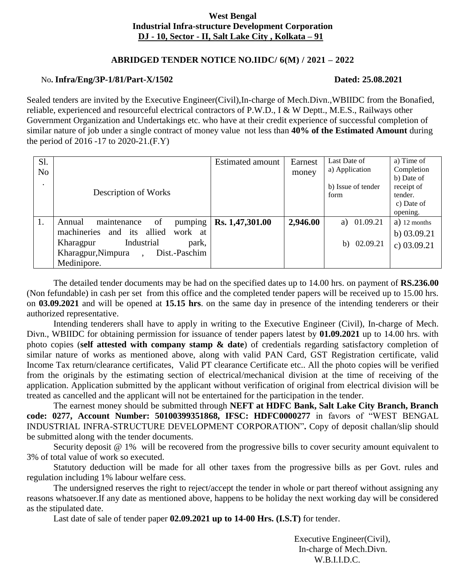# **West Bengal Industrial Infra-structure Development Corporation DJ - 10, Sector - II, Salt Lake City , Kolkata – 91**

# **ABRIDGED TENDER NOTICE NO.IIDC/ 6(M) / 2021 – 2022**

# No**. Infra/Eng/3P-1/81/Part-X/1502 Dated: 25.08.2021**

Sealed tenders are invited by the Executive Engineer(Civil),In-charge of Mech.Divn.,WBIIDC from the Bonafied, reliable, experienced and resourceful electrical contractors of P.W.D., I & W Deptt., M.E.S., Railways other Government Organization and Undertakings etc. who have at their credit experience of successful completion of similar nature of job under a single contract of money value not less than **40% of the Estimated Amount** during the period of 2016 -17 to 2020-21.(F.Y)

| Sl.<br>N <sub>0</sub><br>$\bullet$ | Description of Works                                                                                                                                                         | <b>Estimated amount</b> | Earnest<br>money | Last Date of<br>a) Application<br>b) Issue of tender<br>form | a) Time of<br>Completion<br>b) Date of<br>receipt of<br>tender.<br>c) Date of |
|------------------------------------|------------------------------------------------------------------------------------------------------------------------------------------------------------------------------|-------------------------|------------------|--------------------------------------------------------------|-------------------------------------------------------------------------------|
| 1.                                 | maintenance<br>pumping<br>Annual<br>of<br>and its allied<br>machineries<br>work at<br>Industrial<br>park,<br>Kharagpur<br>Dist.-Paschim<br>Kharagpur, Nimpura<br>Medinipore. | Rs. 1,47,301.00         | 2,946.00         | a) 01.09.21<br>b) $02.09.21$                                 | opening.<br>$a)$ 12 months<br>b) $03.09.21$<br>c) $03.09.21$                  |

The detailed tender documents may be had on the specified dates up to 14.00 hrs. on payment of **RS.236.00**  (Non fefundable) in cash per set from this office and the completed tender papers will be received up to 15.00 hrs. on **03.09.2021** and will be opened at **15.15 hrs**. on the same day in presence of the intending tenderers or their authorized representative.

Intending tenderers shall have to apply in writing to the Executive Engineer (Civil), In-charge of Mech. Divn., WBIIDC for obtaining permission for issuance of tender papers latest by **01.09.2021** up to 14.00 hrs. with photo copies (**self attested with company stamp & date**) of credentials regarding satisfactory completion of similar nature of works as mentioned above, along with valid PAN Card, GST Registration certificate, valid Income Tax return/clearance certificates, Valid PT clearance Certificate etc.. All the photo copies will be verified from the originals by the estimating section of electrical/mechanical division at the time of receiving of the application. Application submitted by the applicant without verification of original from electrical division will be treated as cancelled and the applicant will not be entertained for the participation in the tender.

The earnest money should be submitted through **NEFT at HDFC Bank, Salt Lake City Branch, Branch code: 0277, Account Number: 50100399351868, IFSC: HDFC0000277** in favors of "WEST BENGAL INDUSTRIAL INFRA-STRUCTURE DEVELOPMENT CORPORATION"**.** Copy of deposit challan/slip should be submitted along with the tender documents.

Security deposit @ 1% will be recovered from the progressive bills to cover security amount equivalent to 3% of total value of work so executed.

Statutory deduction will be made for all other taxes from the progressive bills as per Govt. rules and regulation including 1% labour welfare cess.

The undersigned reserves the right to reject/accept the tender in whole or part thereof without assigning any reasons whatsoever.If any date as mentioned above, happens to be holiday the next working day will be considered as the stipulated date.

Last date of sale of tender paper **02.09.2021 up to 14-00 Hrs. (I.S.T)** for tender.

 Executive Engineer(Civil), In-charge of Mech.Divn. W.B.I.I.D.C.